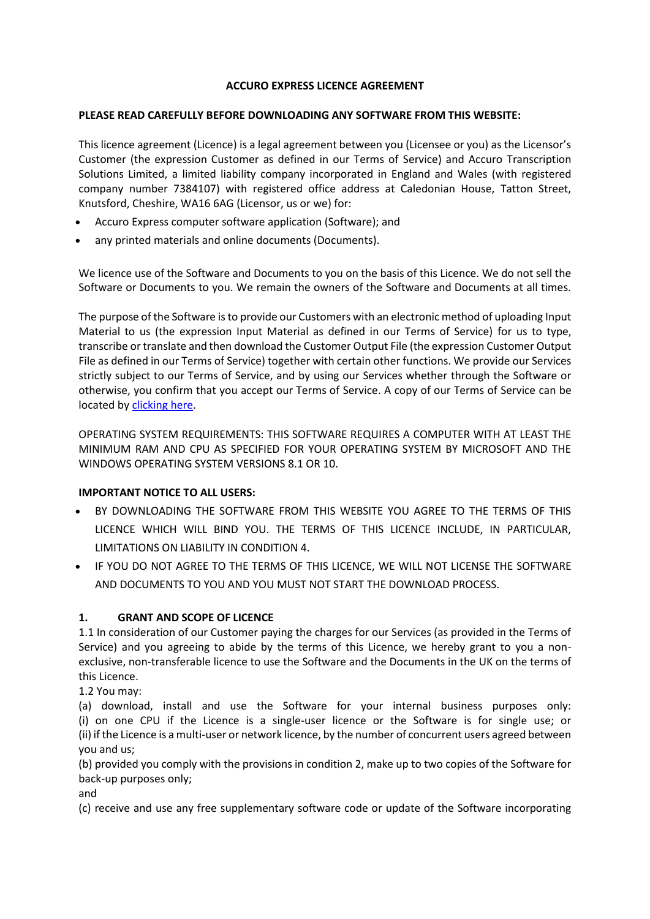#### **ACCURO EXPRESS LICENCE AGREEMENT**

#### **PLEASE READ CAREFULLY BEFORE DOWNLOADING ANY SOFTWARE FROM THIS WEBSITE:**

This licence agreement (Licence) is a legal agreement between you (Licensee or you) as the Licensor's Customer (the expression Customer as defined in our Terms of Service) and Accuro Transcription Solutions Limited, a limited liability company incorporated in England and Wales (with registered company number 7384107) with registered office address at Caledonian House, Tatton Street, Knutsford, Cheshire, WA16 6AG (Licensor, us or we) for:

- Accuro Express computer software application (Software); and
- any printed materials and online documents (Documents).

We licence use of the Software and Documents to you on the basis of this Licence. We do not sell the Software or Documents to you. We remain the owners of the Software and Documents at all times.

The purpose of the Software is to provide our Customers with an electronic method of uploading Input Material to us (the expression Input Material as defined in our Terms of Service) for us to type, transcribe or translate and then download the Customer Output File (the expression Customer Output File as defined in our Terms of Service) together with certain other functions. We provide our Services strictly subject to our Terms of Service, and by using our Services whether through the Software or otherwise, you confirm that you accept our Terms of Service. A copy of our Terms of Service can be located by [clicking here.](https://accuro.co.uk/terms-of-service/)

OPERATING SYSTEM REQUIREMENTS: THIS SOFTWARE REQUIRES A COMPUTER WITH AT LEAST THE MINIMUM RAM AND CPU AS SPECIFIED FOR YOUR OPERATING SYSTEM BY MICROSOFT AND THE WINDOWS OPERATING SYSTEM VERSIONS 8.1 OR 10.

### **IMPORTANT NOTICE TO ALL USERS:**

- BY DOWNLOADING THE SOFTWARE FROM THIS WEBSITE YOU AGREE TO THE TERMS OF THIS LICENCE WHICH WILL BIND YOU. THE TERMS OF THIS LICENCE INCLUDE, IN PARTICULAR, LIMITATIONS ON LIABILITY IN CONDITION 4.
- IF YOU DO NOT AGREE TO THE TERMS OF THIS LICENCE, WE WILL NOT LICENSE THE SOFTWARE AND DOCUMENTS TO YOU AND YOU MUST NOT START THE DOWNLOAD PROCESS.

### **1. GRANT AND SCOPE OF LICENCE**

1.1 In consideration of our Customer paying the charges for our Services (as provided in the Terms of Service) and you agreeing to abide by the terms of this Licence, we hereby grant to you a nonexclusive, non-transferable licence to use the Software and the Documents in the UK on the terms of this Licence.

1.2 You may:

(a) download, install and use the Software for your internal business purposes only: (i) on one CPU if the Licence is a single-user licence or the Software is for single use; or (ii) if the Licence is a multi-user or network licence, by the number of concurrent users agreed between you and us;

(b) provided you comply with the provisions in condition 2, make up to two copies of the Software for back-up purposes only;

and

(c) receive and use any free supplementary software code or update of the Software incorporating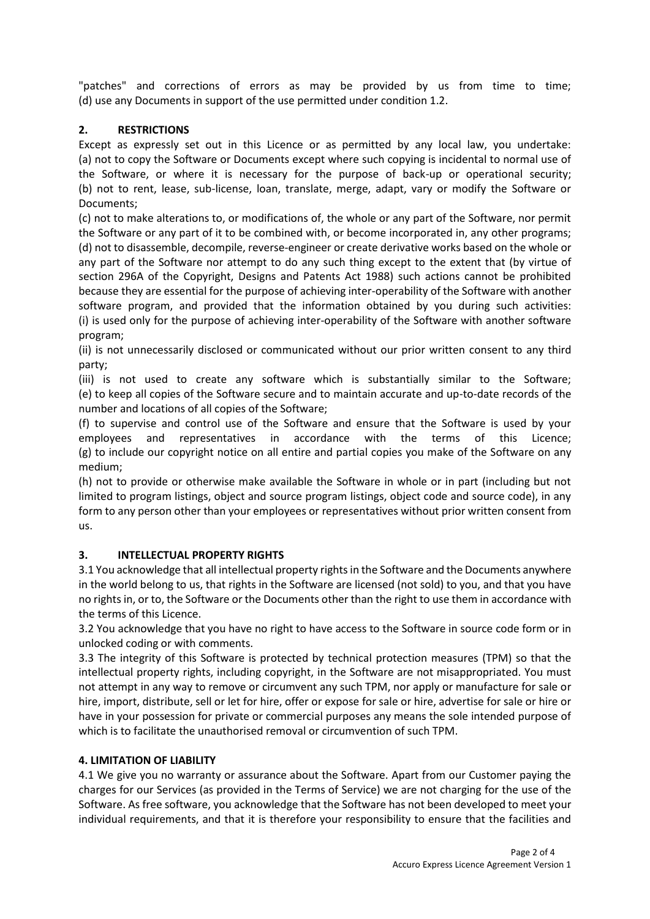"patches" and corrections of errors as may be provided by us from time to time; (d) use any Documents in support of the use permitted under condition 1.2.

## **2. RESTRICTIONS**

Except as expressly set out in this Licence or as permitted by any local law, you undertake: (a) not to copy the Software or Documents except where such copying is incidental to normal use of the Software, or where it is necessary for the purpose of back-up or operational security; (b) not to rent, lease, sub-license, loan, translate, merge, adapt, vary or modify the Software or Documents;

(c) not to make alterations to, or modifications of, the whole or any part of the Software, nor permit the Software or any part of it to be combined with, or become incorporated in, any other programs; (d) not to disassemble, decompile, reverse-engineer or create derivative works based on the whole or any part of the Software nor attempt to do any such thing except to the extent that (by virtue of section 296A of the Copyright, Designs and Patents Act 1988) such actions cannot be prohibited because they are essential for the purpose of achieving inter-operability of the Software with another software program, and provided that the information obtained by you during such activities: (i) is used only for the purpose of achieving inter-operability of the Software with another software program;

(ii) is not unnecessarily disclosed or communicated without our prior written consent to any third party;

(iii) is not used to create any software which is substantially similar to the Software; (e) to keep all copies of the Software secure and to maintain accurate and up-to-date records of the number and locations of all copies of the Software;

(f) to supervise and control use of the Software and ensure that the Software is used by your employees and representatives in accordance with the terms of this Licence; (g) to include our copyright notice on all entire and partial copies you make of the Software on any medium;

(h) not to provide or otherwise make available the Software in whole or in part (including but not limited to program listings, object and source program listings, object code and source code), in any form to any person other than your employees or representatives without prior written consent from us.

### **3. INTELLECTUAL PROPERTY RIGHTS**

3.1 You acknowledge that all intellectual property rights in the Software and the Documents anywhere in the world belong to us, that rights in the Software are licensed (not sold) to you, and that you have no rights in, or to, the Software or the Documents other than the right to use them in accordance with the terms of this Licence.

3.2 You acknowledge that you have no right to have access to the Software in source code form or in unlocked coding or with comments.

3.3 The integrity of this Software is protected by technical protection measures (TPM) so that the intellectual property rights, including copyright, in the Software are not misappropriated. You must not attempt in any way to remove or circumvent any such TPM, nor apply or manufacture for sale or hire, import, distribute, sell or let for hire, offer or expose for sale or hire, advertise for sale or hire or have in your possession for private or commercial purposes any means the sole intended purpose of which is to facilitate the unauthorised removal or circumvention of such TPM.

### **4. LIMITATION OF LIABILITY**

4.1 We give you no warranty or assurance about the Software. Apart from our Customer paying the charges for our Services (as provided in the Terms of Service) we are not charging for the use of the Software. As free software, you acknowledge that the Software has not been developed to meet your individual requirements, and that it is therefore your responsibility to ensure that the facilities and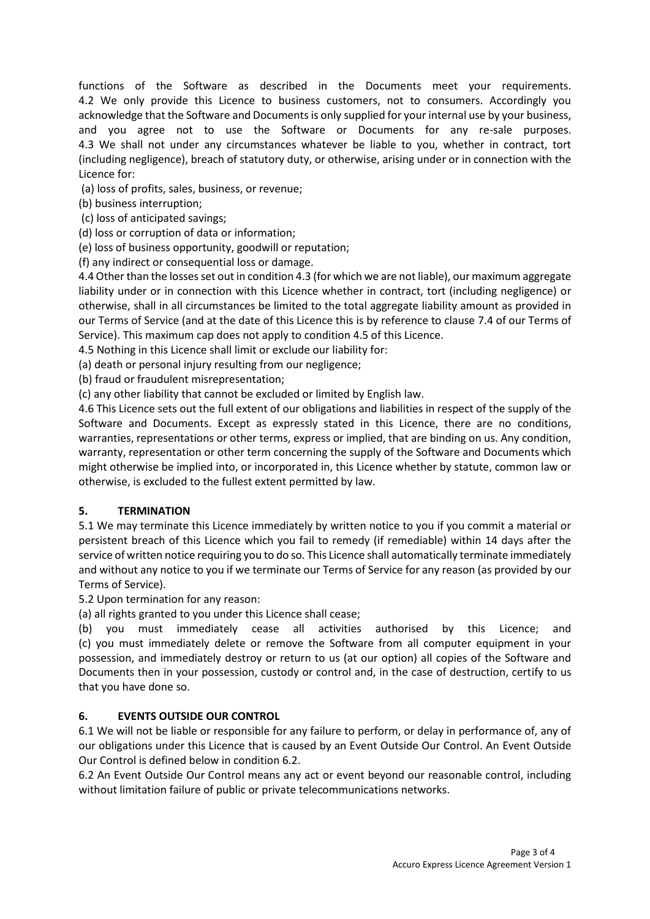functions of the Software as described in the Documents meet your requirements. 4.2 We only provide this Licence to business customers, not to consumers. Accordingly you acknowledge that the Software and Documents is only supplied for your internal use by your business, and you agree not to use the Software or Documents for any re-sale purposes. 4.3 We shall not under any circumstances whatever be liable to you, whether in contract, tort (including negligence), breach of statutory duty, or otherwise, arising under or in connection with the Licence for:

(a) loss of profits, sales, business, or revenue;

(b) business interruption;

(c) loss of anticipated savings;

(d) loss or corruption of data or information;

(e) loss of business opportunity, goodwill or reputation;

(f) any indirect or consequential loss or damage.

4.4 Other than the losses set out in condition 4.3 (for which we are not liable), our maximum aggregate liability under or in connection with this Licence whether in contract, tort (including negligence) or otherwise, shall in all circumstances be limited to the total aggregate liability amount as provided in our Terms of Service (and at the date of this Licence this is by reference to clause 7.4 of our Terms of Service). This maximum cap does not apply to condition 4.5 of this Licence.

4.5 Nothing in this Licence shall limit or exclude our liability for:

(a) death or personal injury resulting from our negligence;

(b) fraud or fraudulent misrepresentation;

(c) any other liability that cannot be excluded or limited by English law.

4.6 This Licence sets out the full extent of our obligations and liabilities in respect of the supply of the Software and Documents. Except as expressly stated in this Licence, there are no conditions, warranties, representations or other terms, express or implied, that are binding on us. Any condition, warranty, representation or other term concerning the supply of the Software and Documents which might otherwise be implied into, or incorporated in, this Licence whether by statute, common law or otherwise, is excluded to the fullest extent permitted by law.

#### **5. TERMINATION**

5.1 We may terminate this Licence immediately by written notice to you if you commit a material or persistent breach of this Licence which you fail to remedy (if remediable) within 14 days after the service of written notice requiring you to do so. This Licence shall automatically terminate immediately and without any notice to you if we terminate our Terms of Service for any reason (as provided by our Terms of Service).

5.2 Upon termination for any reason:

(a) all rights granted to you under this Licence shall cease;

(b) you must immediately cease all activities authorised by this Licence; and (c) you must immediately delete or remove the Software from all computer equipment in your possession, and immediately destroy or return to us (at our option) all copies of the Software and Documents then in your possession, custody or control and, in the case of destruction, certify to us that you have done so.

### **6. EVENTS OUTSIDE OUR CONTROL**

6.1 We will not be liable or responsible for any failure to perform, or delay in performance of, any of our obligations under this Licence that is caused by an Event Outside Our Control. An Event Outside Our Control is defined below in condition 6.2.

6.2 An Event Outside Our Control means any act or event beyond our reasonable control, including without limitation failure of public or private telecommunications networks.